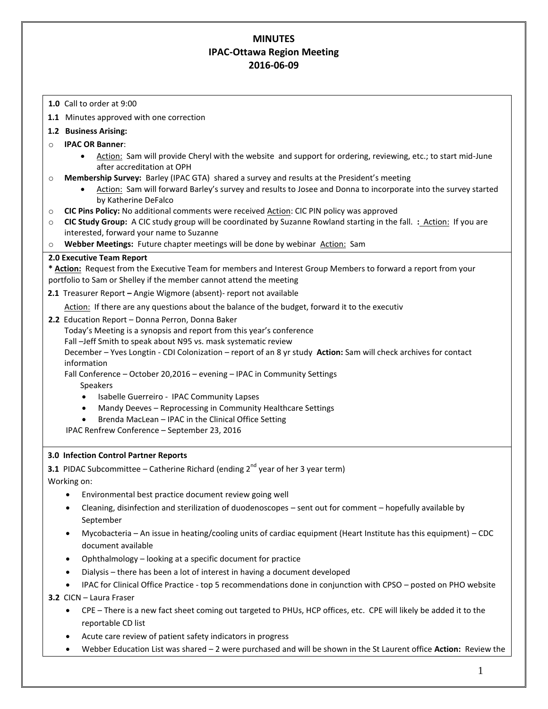# **MINUTES IPAC-Ottawa Region Meeting 2016-06-09**

- **1.0** Call to order at 9:00
- **1.1** Minutes approved with one correction

## **1.2 Business Arising:**

- o **IPAC OR Banner**:
	- Action: Sam will provide Cheryl with the website and support for ordering, reviewing, etc.; to start mid-June after accreditation at OPH
- o **Membership Survey:** Barley (IPAC GTA) shared a survey and results at the President's meeting
	- Action: Sam will forward Barley's survey and results to Josee and Donna to incorporate into the survey started by Katherine DeFalco
- o **CIC Pins Policy:** No additional comments were received Action: CIC PIN policy was approved
- o **CIC Study Group:** A CIC study group will be coordinated by Suzanne Rowland starting in the fall. **:** Action: If you are interested, forward your name to Suzanne
- o **Webber Meetings:** Future chapter meetings will be done by webinar Action:Sam

## **2.0 Executive Team Report**

**\* Action:** Request from the Executive Team for members and Interest Group Members to forward a report from your portfolio to Sam or Shelley if the member cannot attend the meeting

**2.1** Treasurer Report **–** Angie Wigmore (absent)- report not available

Action: If there are any questions about the balance of the budget, forward it to the executiv

**2.2** Education Report – Donna Perron, Donna Baker

Today's Meeting is a synopsis and report from this year's conference

Fall –Jeff Smith to speak about N95 vs. mask systematic review

December – Yves Longtin - CDI Colonization – report of an 8 yr study **Action:** Sam will check archives for contact information

Fall Conference – October 20,2016 – evening – IPAC in Community Settings

- Speakers
- Isabelle Guerreiro IPAC Community Lapses
- Mandy Deeves Reprocessing in Community Healthcare Settings
- Brenda MacLean IPAC in the Clinical Office Setting

IPAC Renfrew Conference – September 23, 2016

# **3.0 Infection Control Partner Reports**

**3.1** PIDAC Subcommittee – Catherine Richard (ending  $2^{nd}$  year of her 3 year term)

Working on:

- Environmental best practice document review going well
- Cleaning, disinfection and sterilization of duodenoscopes sent out for comment hopefully available by September
- Mycobacteria An issue in heating/cooling units of cardiac equipment (Heart Institute has this equipment) CDC document available
- Ophthalmology looking at a specific document for practice
- Dialysis there has been a lot of interest in having a document developed
- IPAC for Clinical Office Practice top 5 recommendations done in conjunction with CPSO posted on PHO website

**3.2** CICN – Laura Fraser

- CPE There is a new fact sheet coming out targeted to PHUs, HCP offices, etc. CPE will likely be added it to the reportable CD list
- Acute care review of patient safety indicators in progress
- Webber Education List was shared 2 were purchased and will be shown in the St Laurent office **Action:** Review the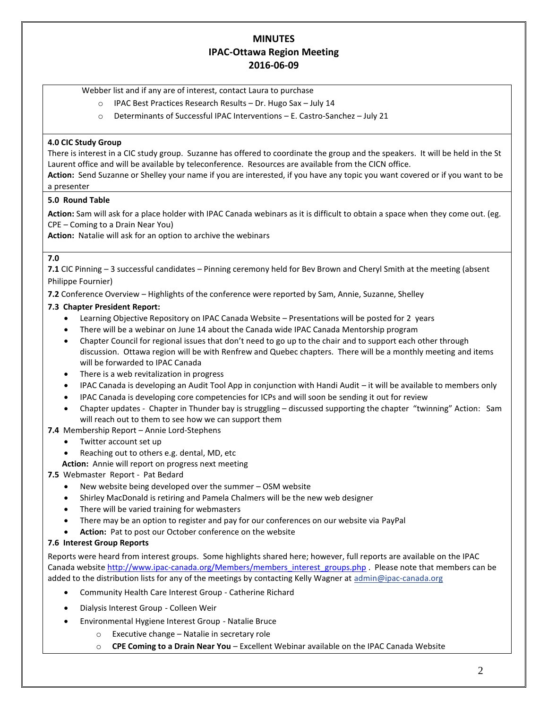# **MINUTES IPAC-Ottawa Region Meeting 2016-06-09**

Webber list and if any are of interest, contact Laura to purchase

- o IPAC Best Practices Research Results Dr. Hugo Sax July 14
- o Determinants of Successful IPAC Interventions E. Castro-Sanchez July 21

## **4.0 CIC Study Group**

There is interest in a CIC study group. Suzanne has offered to coordinate the group and the speakers. It will be held in the St Laurent office and will be available by teleconference. Resources are available from the CICN office.

**Action:** Send Suzanne or Shelley your name if you are interested, if you have any topic you want covered or if you want to be a presenter

#### **5.0 Round Table**

**Action:** Sam will ask for a place holder with IPAC Canada webinars as it is difficult to obtain a space when they come out. (eg. CPE – Coming to a Drain Near You)

**Action:** Natalie will ask for an option to archive the webinars

#### **7.0**

**7.1** CIC Pinning – 3 successful candidates – Pinning ceremony held for Bev Brown and Cheryl Smith at the meeting (absent Philippe Fournier)

**7.2** Conference Overview – Highlights of the conference were reported by Sam, Annie, Suzanne, Shelley

## **7.3 Chapter President Report:**

- Learning Objective Repository on IPAC Canada Website Presentations will be posted for 2 years
- There will be a webinar on June 14 about the Canada wide IPAC Canada Mentorship program
- Chapter Council for regional issues that don't need to go up to the chair and to support each other through discussion. Ottawa region will be with Renfrew and Quebec chapters. There will be a monthly meeting and items will be forwarded to IPAC Canada
- There is a web revitalization in progress
- IPAC Canada is developing an Audit Tool App in conjunction with Handi Audit it will be available to members only
- IPAC Canada is developing core competencies for ICPs and will soon be sending it out for review
- Chapter updates Chapter in Thunder bay is struggling discussed supporting the chapter "twinning" Action: Sam will reach out to them to see how we can support them

## **7.4** Membership Report – Annie Lord-Stephens

- Twitter account set up
- Reaching out to others e.g. dental, MD, etc

 **Action:** Annie will report on progress next meeting

## **7.5** Webmaster Report - Pat Bedard

- New website being developed over the summer OSM website
- Shirley MacDonald is retiring and Pamela Chalmers will be the new web designer
- There will be varied training for webmasters
- There may be an option to register and pay for our conferences on our website via PayPal
- **Action:** Pat to post our October conference on the website

## **7.6 Interest Group Reports**

Reports were heard from interest groups. Some highlights shared here; however, full reports are available on the IPAC Canada website [http://www.ipac-canada.org/Members/members\\_interest\\_groups.php](http://www.ipac-canada.org/Members/members_interest_groups.php) . Please note that members can be added to the distribution lists for any of the meetings by contacting Kelly Wagner at [admin@ipac-canada.org](mailto:admin@ipac-canada.org)

- [Community Health Care Interest Group](http://www.ipac-canada.org/Members/members_comm.php) Catherine Richard
- [Dialysis Interest Group](http://www.ipac-canada.org/Members/members_dial.php) Colleen Weir
- [Environmental Hygiene Interest Group](http://www.ipac-canada.org/Members/members_EnvHygiene.php) Natalie Bruce
	- o Executive change Natalie in secretary role
	- o **CPE Coming to a Drain Near You**  Excellent Webinar available on the IPAC Canada Website